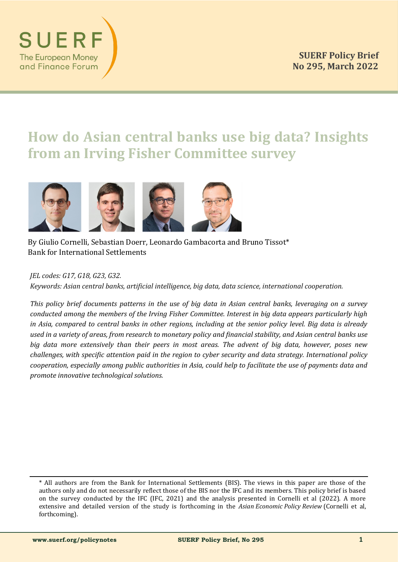# **How do Asian central banks use big data? Insights from an Irving Fisher Committee survey**



By Giulio Cornelli, Sebastian Doerr, Leonardo Gambacorta and Bruno Tissot\* Bank for International Settlements

# *JEL codes: G17, G18, G23, G32.*

SUER

**The European Money** and Finance Forum

*Keywords: Asian central banks, artificial intelligence, big data, data science, international cooperation.*

*This policy brief documents patterns in the use of big data in Asian central banks, leveraging on a survey conducted among the members of the Irving Fisher Committee. Interest in big data appears particularly high in Asia, compared to central banks in other regions, including at the senior policy level. Big data is already used in a variety of areas, from research to monetary policy and financial stability, and Asian central banks use big data more extensively than their peers in most areas. The advent of big data, however, poses new challenges, with specific attention paid in the region to cyber security and data strategy. International policy cooperation, especially among public authorities in Asia, could help to facilitate the use of payments data and promote innovative technological solutions.*

<sup>\*</sup> All authors are from the Bank for International Settlements (BIS). The views in this paper are those of the authors only and do not necessarily reflect those of the BIS nor the IFC and its members. This policy brief is based on the survey conducted by the IFC (IFC, 2021) and the analysis presented in Cornelli et al (2022). A more extensive and detailed version of the study is forthcoming in the *Asian Economic Policy Review* (Cornelli et al, forthcoming).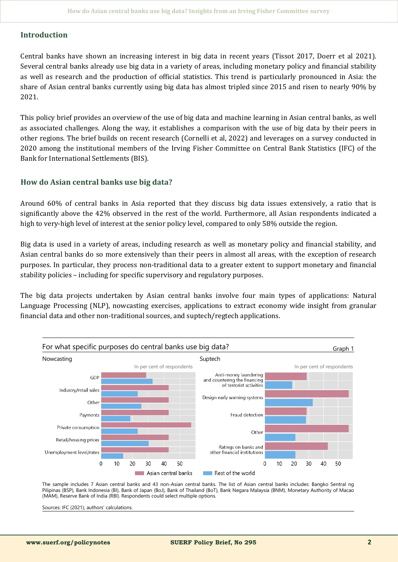### **Introduction**

Central banks have shown an increasing interest in big data in recent years (Tissot 2017, Doerr et al 2021). Several central banks already use big data in a variety of areas, including monetary policy and financial stability as well as research and the production of official statistics. This trend is particularly pronounced in Asia: the share of Asian central banks currently using big data has almost tripled since 2015 and risen to nearly 90% by 2021.

This policy brief provides an overview of the use of big data and machine learning in Asian central banks, as well as associated challenges. Along the way, it establishes a comparison with the use of big data by their peers in other regions. The brief builds on recent research (Cornelli et al, 2022) and leverages on a survey conducted in 2020 among the institutional members of the Irving Fisher Committee on Central Bank Statistics (IFC) of the Bank for International Settlements (BIS).

#### **How do Asian central banks use big data?**

Around 60% of central banks in Asia reported that they discuss big data issues extensively, a ratio that is significantly above the 42% observed in the rest of the world. Furthermore, all Asian respondents indicated a high to very-high level of interest at the senior policy level, compared to only 58% outside the region.

Big data is used in a variety of areas, including research as well as monetary policy and financial stability, and Asian central banks do so more extensively than their peers in almost all areas, with the exception of research purposes. In particular, they process non-traditional data to a greater extent to support monetary and financial stability policies – including for specific supervisory and regulatory purposes.

The big data projects undertaken by Asian central banks involve four main types of applications: Natural Language Processing (NLP), nowcasting exercises, applications to extract economy wide insight from granular financial data and other non-traditional sources, and suptech/regtech applications.



The sample includes 7 Asian central banks and 43 non-Asian central banks. The list of Asian central banks includes: Bangko Sentral ng Pilipinas (BSP), Bank Indonesia (BI), Bank of Japan (BoJ), Bank of Thailand (BoT), Bank Negara Malaysia (BNM), Monetary Authority of Macao (MAM), Reserve Bank of India (RBI). Respondents could select multiple options.

Sources: IFC (2021); authors' calculations.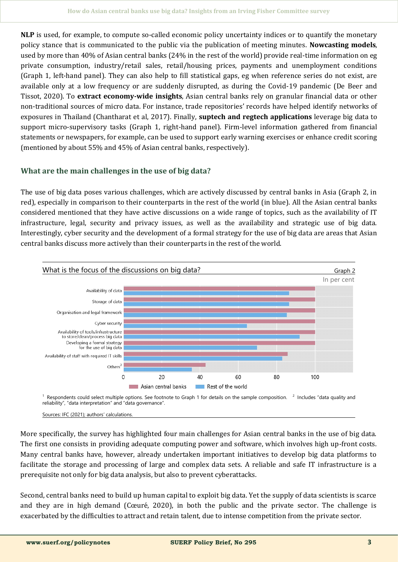**NLP** is used, for example, to compute so-called economic policy uncertainty indices or to quantify the monetary policy stance that is communicated to the public via the publication of meeting minutes. **Nowcasting models**, used by more than 40% of Asian central banks (24% in the rest of the world) provide real-time information on eg private consumption, industry/retail sales, retail/housing prices, payments and unemployment conditions (Graph 1, left-hand panel). They can also help to fill statistical gaps, eg when reference series do not exist, are available only at a low frequency or are suddenly disrupted, as during the Covid-19 pandemic (De Beer and Tissot, 2020). To **extract economy-wide insights**, Asian central banks rely on granular financial data or other non-traditional sources of micro data. For instance, trade repositories' records have helped identify networks of exposures in Thailand (Chantharat et al, 2017). Finally, **suptech and regtech applications** leverage big data to support micro-supervisory tasks (Graph 1, right-hand panel). Firm-level information gathered from financial statements or newspapers, for example, can be used to support early warning exercises or enhance credit scoring (mentioned by about 55% and 45% of Asian central banks, respectively).

# **What are the main challenges in the use of big data?**

The use of big data poses various challenges, which are actively discussed by central banks in Asia (Graph 2, in red), especially in comparison to their counterparts in the rest of the world (in blue). All the Asian central banks considered mentioned that they have active discussions on a wide range of topics, such as the availability of IT infrastructure, legal, security and privacy issues, as well as the availability and strategic use of big data. Interestingly, cyber security and the development of a formal strategy for the use of big data are areas that Asian central banks discuss more actively than their counterparts in the rest of the world.



More specifically, the survey has highlighted four main challenges for Asian central banks in the use of big data. The first one consists in providing adequate computing power and software, which involves high up-front costs. Many central banks have, however, already undertaken important initiatives to develop big data platforms to facilitate the storage and processing of large and complex data sets. A reliable and safe IT infrastructure is a prerequisite not only for big data analysis, but also to prevent cyberattacks.

Second, central banks need to build up human capital to exploit big data. Yet the supply of data scientists is scarce and they are in high demand (Cœuré, 2020), in both the public and the private sector. The challenge is exacerbated by the difficulties to attract and retain talent, due to intense competition from the private sector.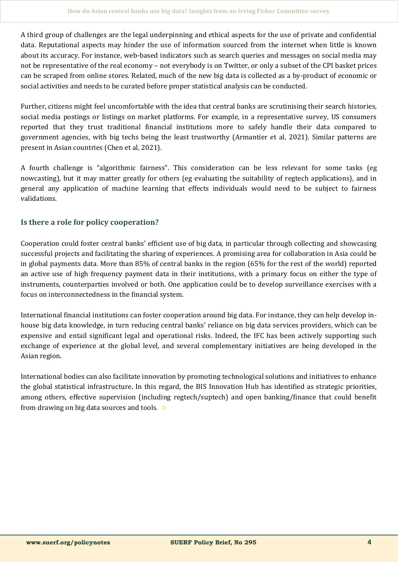A third group of challenges are the legal underpinning and ethical aspects for the use of private and confidential data. Reputational aspects may hinder the use of information sourced from the internet when little is known about its accuracy. For instance, web-based indicators such as search queries and messages on social media may not be representative of the real economy – not everybody is on Twitter, or only a subset of the CPI basket prices can be scraped from online stores. Related, much of the new big data is collected as a by-product of economic or social activities and needs to be curated before proper statistical analysis can be conducted.

Further, citizens might feel uncomfortable with the idea that central banks are scrutinising their search histories, social media postings or listings on market platforms. For example, in a representative survey, US consumers reported that they trust traditional financial institutions more to safely handle their data compared to government agencies, with big techs being the least trustworthy (Armantier et al, 2021). Similar patterns are present in Asian countries (Chen et al, 2021).

A fourth challenge is "algorithmic fairness". This consideration can be less relevant for some tasks (eg nowcasting), but it may matter greatly for others (eg evaluating the suitability of regtech applications), and in general any application of machine learning that effects individuals would need to be subject to fairness validations.

# **Is there a role for policy cooperation?**

Cooperation could foster central banks' efficient use of big data, in particular through collecting and showcasing successful projects and facilitating the sharing of experiences. A promising area for collaboration in Asia could be in global payments data. More than 85% of central banks in the region (65% for the rest of the world) reported an active use of high frequency payment data in their institutions, with a primary focus on either the type of instruments, counterparties involved or both. One application could be to develop surveillance exercises with a focus on interconnectedness in the financial system.

International financial institutions can foster cooperation around big data. For instance, they can help develop inhouse big data knowledge, in turn reducing central banks' reliance on big data services providers, which can be expensive and entail significant legal and operational risks. Indeed, the IFC has been actively supporting such exchange of experience at the global level, and several complementary initiatives are being developed in the Asian region.

International bodies can also facilitate innovation by promoting technological solutions and initiatives to enhance the global statistical infrastructure. In this regard, the BIS Innovation Hub has identified as strategic priorities, among others, effective supervision (including regtech/suptech) and open banking/finance that could benefit from drawing on big data sources and tools. ∎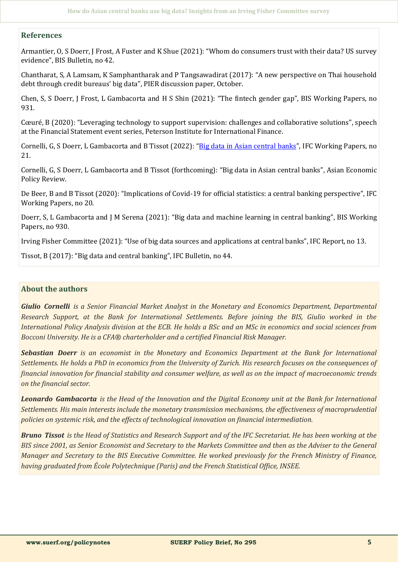### **References**

Armantier, O, S Doerr, J Frost, A Fuster and K Shue (2021): "Whom do consumers trust with their data? US survey evidence", BIS Bulletin, no 42.

Chantharat, S, A Lamsam, K Samphantharak and P Tangsawadirat (2017): "A new perspective on Thai household debt through credit bureaus' big data", PIER discussion paper, October.

Chen, S, S Doerr, J Frost, L Gambacorta and H S Shin (2021): "The fintech gender gap", BIS Working Papers, no 931.

Cœuré, B (2020): "Leveraging technology to support supervision: challenges and collaborative solutions", speech at the Financial Statement event series, Peterson Institute for International Finance.

Cornelli, G, S Doerr, L Gambacorta and B Tissot (2022): "[Big data in Asian central banks](https://www.bis.org/ifc/publ/ifcwork21.pdf)", IFC Working Papers, no 21.

Cornelli, G, S Doerr, L Gambacorta and B Tissot (forthcoming): "Big data in Asian central banks", Asian Economic Policy Review.

De Beer, B and B Tissot (2020): "Implications of Covid-19 for official statistics: a central banking perspective", IFC Working Papers, no 20.

Doerr, S, L Gambacorta and J M Serena (2021): "Big data and machine learning in central banking", BIS Working Papers, no 930.

Irving Fisher Committee (2021): "Use of big data sources and applications at central banks", IFC Report, no 13.

Tissot, B (2017): "Big data and central banking", IFC Bulletin, no 44.

# **About the authors**

*Giulio Cornelli is a Senior Financial Market Analyst in the Monetary and Economics Department, Departmental Research Support, at the Bank for International Settlements. Before joining the BIS, Giulio worked in the International Policy Analysis division at the ECB. He holds a BSc and an MSc in economics and social sciences from Bocconi University. He is a CFA® charterholder and a certified Financial Risk Manager.*

*Sebastian Doerr is an economist in the Monetary and Economics Department at the Bank for International Settlements. He holds a PhD in economics from the University of Zurich. His research focuses on the consequences of financial innovation for financial stability and consumer welfare, as well as on the impact of macroeconomic trends on the financial sector.* 

*Leonardo Gambacorta is the Head of the Innovation and the Digital Economy unit at the Bank for International Settlements. His main interests include the monetary transmission mechanisms, the effectiveness of macroprudential policies on systemic risk, and the effects of technological innovation on financial intermediation.* 

*Bruno Tissot is the Head of Statistics and Research Support and of the IFC Secretariat. He has been working at the BIS since 2001, as Senior Economist and Secretary to the Markets Committee and then as the Adviser to the General Manager and Secretary to the BIS Executive Committee. He worked previously for the French Ministry of Finance, having graduated from École Polytechnique (Paris) and the French Statistical Office, INSEE.*